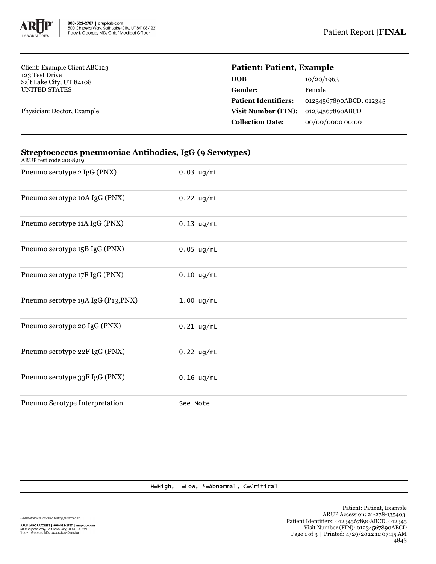

Client: Example Client ABC123 123 Test Drive Salt Lake City, UT 84108 UNITED STATES

Physician: Doctor, Example

## **Patient: Patient, Example**

| 10/20/1963              |
|-------------------------|
| Female                  |
| 01234567890ABCD, 012345 |
| 01234567890ABCD         |
| 00/00/0000 00:00        |
|                         |

| ARUP test code 2008919             |              |
|------------------------------------|--------------|
| Pneumo serotype 2 IgG (PNX)        | $0.03$ ug/mL |
| Pneumo serotype 10A IgG (PNX)      | $0.22$ ug/mL |
| Pneumo serotype 11A IgG (PNX)      | $0.13$ ug/mL |
| Pneumo serotype 15B IgG (PNX)      | $0.05$ ug/mL |
| Pneumo serotype 17F IgG (PNX)      | $0.10$ ug/mL |
| Pneumo serotype 19A IgG (P13, PNX) | $1.00$ ug/mL |
| Pneumo serotype 20 IgG (PNX)       | $0.21$ ug/mL |
| Pneumo serotype 22F IgG (PNX)      | $0.22$ ug/mL |
| Pneumo serotype 33F IgG (PNX)      | $0.16$ ug/mL |
| Pneumo Serotype Interpretation     | See Note     |

## **Streptococcus pneumoniae Antibodies, IgG (9 Serotypes)**

H=High, L=Low, \*=Abnormal, C=Critical

Unless otherwise indicated, testing performed at: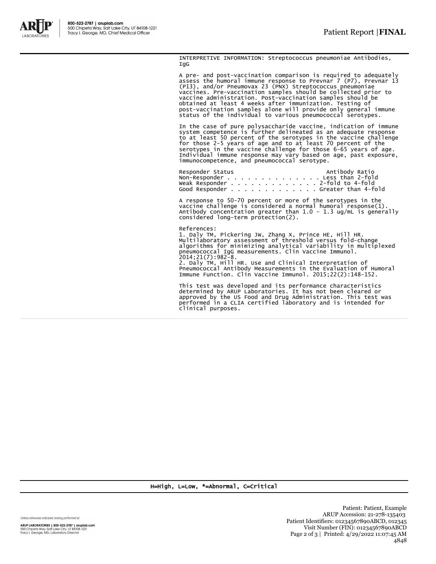

INTERPRETIVE INFORMATION: Streptococcus pneumoniae Antibodies, IgG

A pre- and post-vaccination comparison is required to adequately assess the humoral immune response to Prevnar 7 (P7), Prevnar 13 (P13), and/or Pneumovax 23 (PNX) Streptococcus pneumoniae vaccines. Pre-vaccination samples should be collected prior to vaccine administration. Post-vaccination samples should be obtained at least 4 weeks after immunization. Testing of post-vaccination samples alone will provide only general immune status of the individual to various pneumococcal serotypes.

In the case of pure polysaccharide vaccine, indication of immune<br>system competence is further delineated as an adequate response<br>to at least 50 percent of the serotypes in the vaccine challenge<br>for those 2-5 years of age a

Responder Status Antibody Ratio Non-Responder . . . . . . . . . . . . . . Less than 2-fold Weak Responder . . . . . . . . . . . . . 2-fold to 4-fold Good Responder . . . . . . . . . . . . . Greater than 4-fold

A response to 50-70 percent or more of the serotypes in the vaccine challenge is considered a normal humoral response(1). Antibody concentration greater than 1.0 - 1.3 ug/mL is generally considered long-term protection(2).

References: 1. Daly TM, Pickering JW, Zhang X, Prince HE, Hill HR. Multilaboratory assessment of threshold versus fold-change algorithms for minimizing analytical variability in multiplexed pneumococcal IgG measurements. Clin Vaccine Immunol. 2014;21(7):982-8. 2. Daly TM, Hill HR. Use and Clinical Interpretation of Pneumococcal Antibody Measurements in the Evaluation of Humoral Immune Function. Clin Vaccine Immunol. 2015;22(2):148-152.

This test was developed and its performance characteristics determined by ARUP Laboratories. It has not been cleared or approved by the US Food and Drug Administration. This test was performed in a CLIA certified laboratory and is intended for clinical purposes.

H=High, L=Low, \*=Abnormal, C=Critical

Unless otherwise indicated, testing performed at:

ARUP LABORATORIES | 800-522-2787 | aruplab.com 500 Chipeta Way, Salt Lake City, UT 84108-1221<br>Tracy I. George, MD, Laboratory Director

Patient: Patient, Example ARUP Accession: 21-278-135403 Patient Identifiers: 01234567890ABCD, 012345 Visit Number (FIN): 01234567890ABCD Page 2 of 3 | Printed: 4/29/2022 11:07:45 AM 4848